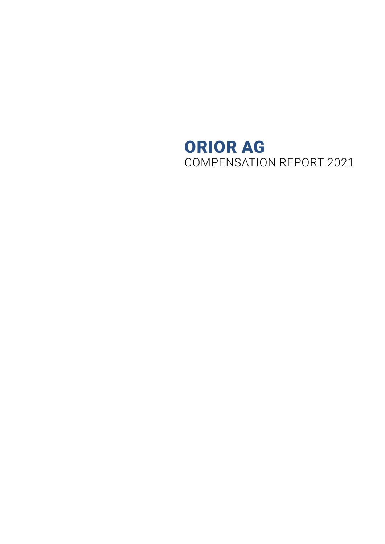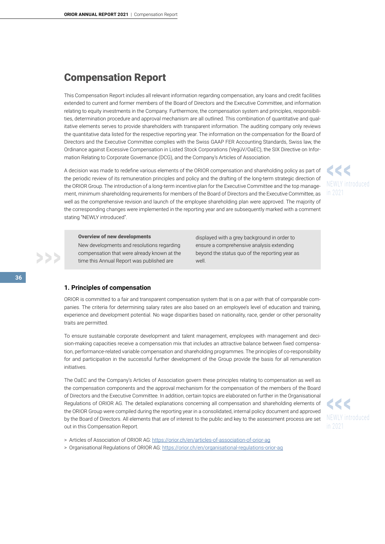# Compensation Report

This Compensation Report includes all relevant information regarding compensation, any loans and credit facilities extended to current and former members of the Board of Directors and the Executive Committee, and information relating to equity investments in the Company. Furthermore, the compensation system and principles, responsibilities, determination procedure and approval mechanism are all outlined. This combination of quantitative and qualitative elements serves to provide shareholders with transparent information. The auditing company only reviews the quantitative data listed for the respective reporting year. The information on the compensation for the Board of Directors and the Executive Committee complies with the Swiss GAAP FER Accounting Standards, Swiss law, the Ordinance against Excessive Compensation in Listed Stock Corporations (VegüV/OaEC), the SIX Directive on Information Relating to Corporate Governance (DCG), and the Company's Articles of Association.

A decision was made to redefine various elements of the ORIOR compensation and shareholding policy as part of the periodic review of its remuneration principles and policy and the drafting of the long-term strategic direction of the ORIOR Group. The introduction of a long-term incentive plan for the Executive Committee and the top management, minimum shareholding requirements for members of the Board of Directors and the Executive Committee, as well as the comprehensive revision and launch of the employee shareholding plan were approved. The majority of the corresponding changes were implemented in the reporting year and are subsequently marked with a comment stating "NEWLY introduced".

**CCC** in 2021

#### Overview of new developments

New developments and resolutions regarding compensation that were already known at the time this Annual Report was published are

displayed with a grey background in order to ensure a comprehensive analysis extending beyond the status quo of the reporting year as well.

# **1. Principles of compensation**

ORIOR is committed to a fair and transparent compensation system that is on a par with that of comparable companies. The criteria for determining salary rates are also based on an employee's level of education and training, experience and development potential. No wage disparities based on nationality, race, gender or other personality traits are permitted.

To ensure sustainable corporate development and talent management, employees with management and decision-making capacities receive a compensation mix that includes an attractive balance between fixed compensation, performance-related variable compensation and shareholding programmes. The principles of co-responsibility for and participation in the successful further development of the Group provide the basis for all remuneration initiatives.

The OaEC and the Company's Articles of Association govern these principles relating to compensation as well as the compensation components and the approval mechanism for the compensation of the members of the Board of Directors and the Executive Committee. In addition, certain topics are elaborated on further in the Organisational Regulations of ORIOR AG. The detailed explanations concerning all compensation and shareholding elements of the ORIOR Group were compiled during the reporting year in a consolidated, internal policy document and approved by the Board of Directors. All elements that are of interest to the public and key to the assessment process are set out in this Compensation Report.

<<< NEWLY introduced

- > Articles of Association of ORIOR AG:<https://orior.ch/en/articles-of-association-of-orior-ag>
- > Organisational Regulations of ORIOR AG:<https://orior.ch/en/organisational-regulations-orior-ag>

>>>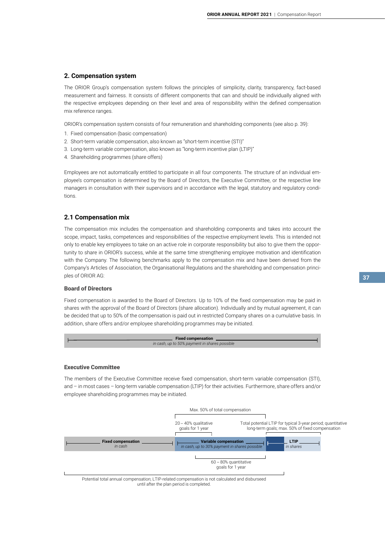# **2. Compensation system**

The ORIOR Group's compensation system follows the principles of simplicity, clarity, transparency, fact-based measurement and fairness. It consists of different components that can and should be individually aligned with the respective employees depending on their level and area of responsibility within the defined compensation mix reference ranges.

ORIOR's compensation system consists of four remuneration and shareholding components (see also p. 39):

- 1. Fixed compensation (basic compensation)
- 2. Short-term variable compensation, also known as "short-term incentive (STI)"
- 3. Long-term variable compensation, also known as "long-term incentive plan (LTIP)"
- 4. Shareholding programmes (share offers)

Employees are not automatically entitled to participate in all four components. The structure of an individual employee's compensation is determined by the Board of Directors, the Executive Committee, or the respective line managers in consultation with their supervisors and in accordance with the legal, statutory and regulatory conditions.

# **2.1 Compensation mix**

The compensation mix includes the compensation and shareholding components and takes into account the scope, impact, tasks, competences and responsibilities of the respective employment levels. This is intended not only to enable key employees to take on an active role in corporate responsibility but also to give them the opportunity to share in ORIOR's success, while at the same time strengthening employee motivation and identification with the Company. The following benchmarks apply to the compensation mix and have been derived from the Company's Articles of Association, the Organisational Regulations and the shareholding and compensation principles of ORIOR AG:

# Board of Directors

Executive Committee

Fixed compensation is awarded to the Board of Directors. Up to 10% of the fixed compensation may be paid in shares with the approval of the Board of Directors (share allocation). Individually and by mutual agreement, it can be decided that up to 50% of the compensation is paid out in restricted Company shares on a cumulative basis. In addition, share offers and/or employee shareholding programmes may be initiated.

> **Fixed compensation** *in cash, up to 50% payment in shares possible*

The members of the Executive Committee receive fixed compensation, short-term variable compensation (STI), and – in most cases – long-term variable compensation (LTIP) for their activities. Furthermore, share offers and/or



Potential total annual compensation; LTIP-related compensation is not calculated and disburseed until after the plan period is completed.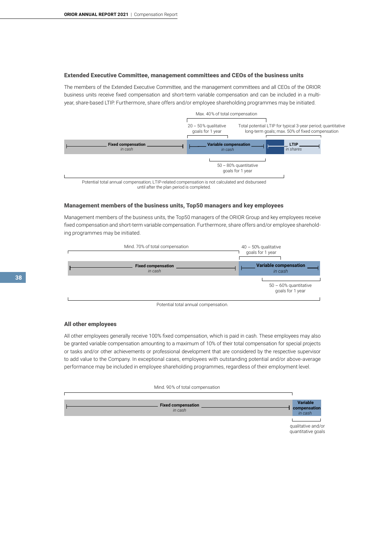# Extended Executive Committee, management committees and CEOs of the business units

The members of the Extended Executive Committee, and the management committees and all CEOs of the ORIOR business units receive fixed compensation and short-term variable compensation and can be included in a multiyear, share-based LTIP. Furthermore, share offers and/or employee shareholding programmes may be initiated.



Potential total annual compensation; LTIP-related compensation is not calculated and disburseed until after the plan period is completed.

### Management members of the business units, Top50 managers and key employees

Management members of the business units, the Top50 managers of the ORIOR Group and key employees receive fixed compensation and short-term variable compensation. Furthermore, share offers and/or employee shareholding programmes may be initiated.



Potential total annual compensation.

# All other employees

All other employees generally receive 100% fixed compensation, which is paid in cash. These employees may also be granted variable compensation amounting to a maximum of 10% of their total compensation for special projects or tasks and/or other achievements or professional development that are considered by the respective supervisor to add value to the Company. In exceptional cases, employees with outstanding potential and/or above-average performance may be included in employee shareholding programmes, regardless of their employment level.

|  |  | Mind. 90% of total compensation |
|--|--|---------------------------------|
|  |  |                                 |

**Fixed compensation** *in cash*  **Variable compensation** *in cash*

> qualitative and/or quantitative goals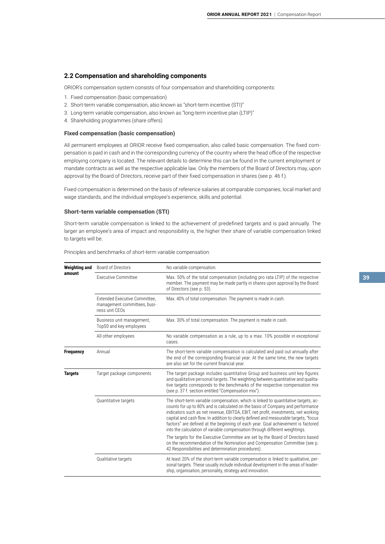# **2.2 Compensation and shareholding components**

ORIOR's compensation system consists of four compensation and shareholding components:

- 1. Fixed compensation (basic compensation)
- 2. Short-term variable compensation, also known as "short-term incentive (STI)"
- 3. Long-term variable compensation, also known as "long-term incentive plan (LTIP)"
- 4. Shareholding programmes (share offers)

# Fixed compensation (basic compensation)

All permanent employees at ORIOR receive fixed compensation, also called basic compensation. The fixed compensation is paid in cash and in the corresponding currency of the country where the head office of the respective employing company is located. The relevant details to determine this can be found in the current employment or mandate contracts as well as the respective applicable law. Only the members of the Board of Directors may, upon approval by the Board of Directors, receive part of their fixed compensation in shares (see p. 46 f.).

Fixed compensation is determined on the basis of reference salaries at comparable companies, local market and wage standards, and the individual employee's experience, skills and potential.

### Short-term variable compensation (STI)

Short-term variable compensation is linked to the achievement of predefined targets and is paid annually. The larger an employee's area of impact and responsibility is, the higher their share of variable compensation linked to targets will be.

| <b>Weighting and</b> | Board of Directors                                                              | No variable compensation.                                                                                                                                                                                                                                                                                                                                                                                                                                                                                             |  |  |  |  |
|----------------------|---------------------------------------------------------------------------------|-----------------------------------------------------------------------------------------------------------------------------------------------------------------------------------------------------------------------------------------------------------------------------------------------------------------------------------------------------------------------------------------------------------------------------------------------------------------------------------------------------------------------|--|--|--|--|
| amount               | <b>Executive Committee</b>                                                      | Max. 50% of the total compensation (including pro rata LTIP) of the respective<br>member. The payment may be made partly in shares upon approval by the Board<br>of Directors (see p. 53).                                                                                                                                                                                                                                                                                                                            |  |  |  |  |
|                      | Extended Executive Committee.<br>management committees, busi-<br>ness unit CEOs | Max. 40% of total compensation. The payment is made in cash.                                                                                                                                                                                                                                                                                                                                                                                                                                                          |  |  |  |  |
|                      | Business unit management,<br>Top50 and key employees                            | Max. 30% of total compensation. The payment is made in cash.                                                                                                                                                                                                                                                                                                                                                                                                                                                          |  |  |  |  |
|                      | All other employees                                                             | No variable compensation as a rule, up to a max. 10% possible in exceptional<br>cases.                                                                                                                                                                                                                                                                                                                                                                                                                                |  |  |  |  |
| <b>Frequency</b>     | Annual                                                                          | The short-term variable compensation is calculated and paid out annually after<br>the end of the corresponding financial year. At the same time, the new targets<br>are also set for the current financial year.                                                                                                                                                                                                                                                                                                      |  |  |  |  |
| <b>Targets</b>       | Target package components                                                       | The target package includes quantitative Group and business unit key figures<br>and qualitative personal targets. The weighting between quantitative and qualita-<br>tive targets corresponds to the benchmarks of the respective compensation mix<br>(see p. 37 f. section entitled "Compensation mix").                                                                                                                                                                                                             |  |  |  |  |
|                      | Quantitative targets                                                            | The short-term variable compensation, which is linked to quantitative targets, ac-<br>counts for up to 80% and is calculated on the basis of Company and performance<br>indicators such as net revenue, EBITDA, EBIT, net profit, investments, net working<br>capital and cash flow. In addition to clearly defined and measurable targets, "focus<br>factors" are defined at the beginning of each year. Goal achievement is factored<br>into the calculation of variable compensation through different weightings. |  |  |  |  |
|                      |                                                                                 | The targets for the Executive Committee are set by the Board of Directors based<br>on the recommendation of the Nomination and Compensation Committee (see p.<br>42 Responsibilities and determination procedures).                                                                                                                                                                                                                                                                                                   |  |  |  |  |
|                      | Qualitative targets                                                             | At least 20% of the short-term variable compensation is linked to qualitative, per-<br>sonal targets. These usually include individual development in the areas of leader-<br>ship, organisation, personality, strategy and innovation.                                                                                                                                                                                                                                                                               |  |  |  |  |

Principles and benchmarks of short-term variable compensation: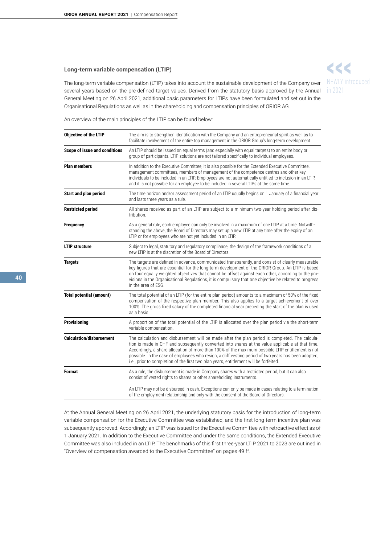# **Long-term variable compensation (LTIP)**

The long-term variable compensation (LTIP) takes into account the sustainable development of the Company over several years based on the pre-defined target values. Derived from the statutory basis approved by the Annual General Meeting on 26 April 2021, additional basic parameters for LTIPs have been formulated and set out in the Organisational Regulations as well as in the shareholding and compensation principles of ORIOR AG.

**CCC** 

NEWLY introduced

An overview of the main principles of the LTIP can be found below:

| Objective of the LTIP           | The aim is to strengthen identification with the Company and an entrepreneurial spirit as well as to<br>facilitate involvement of the entire top management in the ORIOR Group's long-term development.                                                                                                                                                                                                                                                                                                  |
|---------------------------------|----------------------------------------------------------------------------------------------------------------------------------------------------------------------------------------------------------------------------------------------------------------------------------------------------------------------------------------------------------------------------------------------------------------------------------------------------------------------------------------------------------|
| Scope of issue and conditions   | An LTIP should be issued on equal terms (and especially with equal targets) to an entire body or<br>group of participants. LTIP solutions are not tailored specifically to individual employees.                                                                                                                                                                                                                                                                                                         |
| <b>Plan members</b>             | In addition to the Executive Committee, it is also possible for the Extended Executive Committee,<br>management committees, members of management of the competence centres and other key<br>individuals to be included in an LTIP. Employees are not automatically entitled to inclusion in an LTIP,<br>and it is not possible for an employee to be included in several LTIPs at the same time.                                                                                                        |
| <b>Start and plan period</b>    | The time horizon and/or assessment period of an LTIP usually begins on 1 January of a financial year<br>and lasts three years as a rule.                                                                                                                                                                                                                                                                                                                                                                 |
| <b>Restricted period</b>        | All shares received as part of an LTIP are subject to a minimum two-year holding period after dis-<br>tribution.                                                                                                                                                                                                                                                                                                                                                                                         |
| <b>Frequency</b>                | As a general rule, each employee can only be involved in a maximum of one LTIP at a time. Notwith-<br>standing the above, the Board of Directors may set up a new LTIP at any time after the expiry of an<br>LTIP or for employees who are not yet included in an LTIP.                                                                                                                                                                                                                                  |
| <b>LTIP structure</b>           | Subject to legal, statutory and regulatory compliance, the design of the framework conditions of a<br>new LTIP is at the discretion of the Board of Directors.                                                                                                                                                                                                                                                                                                                                           |
| <b>Targets</b>                  | The targets are defined in advance, communicated transparently, and consist of clearly measurable<br>key figures that are essential for the long-term development of the ORIOR Group. An LTIP is based<br>on four equally weighted objectives that cannot be offset against each other; according to the pro-<br>visions in the Organisational Regulations, it is compulsory that one objective be related to progress<br>in the area of ESG.                                                            |
| <b>Total potential (amount)</b> | The total potential of an LTIP (for the entire plan period) amounts to a maximum of 50% of the fixed<br>compensation of the respective plan member. This also applies to a target achievement of over<br>100%. The gross fixed salary of the completed financial year preceding the start of the plan is used<br>as a basis.                                                                                                                                                                             |
| <b>Provisioning</b>             | A proportion of the total potential of the LTIP is allocated over the plan period via the short-term<br>variable compensation.                                                                                                                                                                                                                                                                                                                                                                           |
| <b>Calculation/disbursement</b> | The calculation and disbursement will be made after the plan period is completed. The calcula-<br>tion is made in CHF and subsequently converted into shares at the value applicable at that time.<br>Accordingly, a share allocation of more than 100% of the maximum possible LTIP entitlement is not<br>possible. In the case of employees who resign, a cliff vesting period of two years has been adopted,<br>i.e., prior to completion of the first two plan years, entitlement will be forfeited. |
| Format                          | As a rule, the disbursement is made in Company shares with a restricted period, but it can also<br>consist of vested rights to shares or other shareholding instruments.                                                                                                                                                                                                                                                                                                                                 |
|                                 | An LTIP may not be disbursed in cash. Exceptions can only be made in cases relating to a termination<br>of the employment relationship and only with the consent of the Board of Directors.                                                                                                                                                                                                                                                                                                              |

At the Annual General Meeting on 26 April 2021, the underlying statutory basis for the introduction of long-term variable compensation for the Executive Committee was established, and the first long-term incentive plan was subsequently approved. Accordingly, an LTIP was issued for the Executive Committee with retroactive effect as of 1 January 2021. In addition to the Executive Committee and under the same conditions, the Extended Executive Committee was also included in an LTIP. The benchmarks of this first three-year LTIP 2021 to 2023 are outlined in "Overview of compensation awarded to the Executive Committee" on pages 49 ff.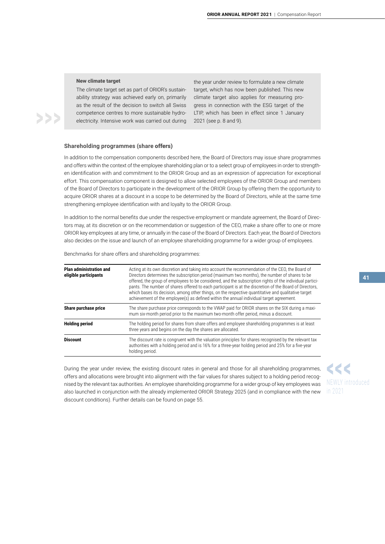# New climate target

The climate target set as part of ORIOR's sustainability strategy was achieved early on, primarily as the result of the decision to switch all Swiss competence centres to more sustainable hydrocompetence centres to more sustainable hydro- LTIP, which has been in effect since 1 January electricity. Intensive work was carried out during 2021 (see p. 8 and 9).

the year under review to formulate a new climate target, which has now been published. This new climate target also applies for measuring progress in connection with the ESG target of the

# **Shareholding programmes (share** offers)

In addition to the compensation components described here, the Board of Directors may issue share programmes and offers within the context of the employee shareholding plan or to a select group of employees in order to strengthen identification with and commitment to the ORIOR Group and as an expression of appreciation for exceptional effort. This compensation component is designed to allow selected employees of the ORIOR Group and members of the Board of Directors to participate in the development of the ORIOR Group by offering them the opportunity to acquire ORIOR shares at a discount in a scope to be determined by the Board of Directors, while at the same time strengthening employee identification with and loyalty to the ORIOR Group.

In addition to the normal benefits due under the respective employment or mandate agreement, the Board of Directors may, at its discretion or on the recommendation or suggestion of the CEO, make a share offer to one or more ORIOR key employees at any time, or annually in the case of the Board of Directors. Each year, the Board of Directors also decides on the issue and launch of an employee shareholding programme for a wider group of employees.

Benchmarks for share offers and shareholding programmes:

| <b>Plan administration and</b><br>eligible participants | Acting at its own discretion and taking into account the recommendation of the CEO, the Board of<br>Directors determines the subscription period (maximum two months), the number of shares to be<br>offered, the group of employees to be considered, and the subscription rights of the individual partici-<br>pants. The number of shares offered to each participant is at the discretion of the Board of Directors,<br>which bases its decision, among other things, on the respective quantitative and qualitative target<br>achievement of the employee(s) as defined within the annual individual target agreement. |
|---------------------------------------------------------|-----------------------------------------------------------------------------------------------------------------------------------------------------------------------------------------------------------------------------------------------------------------------------------------------------------------------------------------------------------------------------------------------------------------------------------------------------------------------------------------------------------------------------------------------------------------------------------------------------------------------------|
| Share purchase price                                    | The share purchase price corresponds to the VWAP paid for ORIOR shares on the SIX during a maxi-<br>mum six-month period prior to the maximum two-month offer period, minus a discount.                                                                                                                                                                                                                                                                                                                                                                                                                                     |
| <b>Holding period</b>                                   | The holding period for shares from share offers and employee shareholding programmes is at least<br>three years and begins on the day the shares are allocated.                                                                                                                                                                                                                                                                                                                                                                                                                                                             |
| <b>Discount</b>                                         | The discount rate is congruent with the valuation principles for shares recognised by the relevant tax<br>authorities with a holding period and is 16% for a three-year holding period and 25% for a five-year<br>holding period.                                                                                                                                                                                                                                                                                                                                                                                           |

During the year under review, the existing discount rates in general and those for all shareholding programmes, offers and allocations were brought into alignment with the fair values for shares subject to a holding period recognised by the relevant tax authorities. An employee shareholding programme for a wider group of key employees was also launched in conjunction with the already implemented ORIOR Strategy 2025 (and in compliance with the new discount conditions). Further details can be found on page 55.

<<< in 2021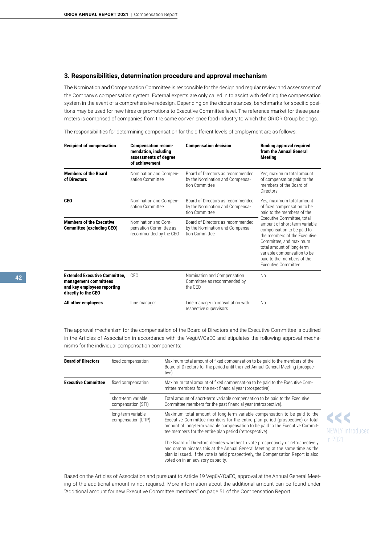# **3. Responsibilities, determination procedure and approval mechanism**

The Nomination and Compensation Committee is responsible for the design and regular review and assessment of the Company's compensation system. External experts are only called in to assist with defining the compensation system in the event of a comprehensive redesign. Depending on the circumstances, benchmarks for specific positions may be used for new hires or promotions to Executive Committee level. The reference market for these parameters is comprised of companies from the same convenience food industry to which the ORIOR Group belongs.

The responsibilities for determining compensation for the different levels of employment are as follows:

| <b>Recipient of compensation</b>                                                                                    | <b>Compensation recom-</b><br>mendation, including<br>assessments of degree<br>of achievement | <b>Compensation decision</b>                                                           | <b>Binding approval required</b><br>from the Annual General<br><b>Meeting</b>                                                                                                                                                                                               |
|---------------------------------------------------------------------------------------------------------------------|-----------------------------------------------------------------------------------------------|----------------------------------------------------------------------------------------|-----------------------------------------------------------------------------------------------------------------------------------------------------------------------------------------------------------------------------------------------------------------------------|
| <b>Members of the Board</b><br>of Directors                                                                         | Nomination and Compen-<br>sation Committee                                                    | Board of Directors as recommended<br>by the Nomination and Compensa-<br>tion Committee | Yes: maximum total amount<br>of compensation paid to the<br>members of the Board of<br><b>Directors</b>                                                                                                                                                                     |
| <b>CEO</b>                                                                                                          | Nomination and Compen-<br>sation Committee                                                    | Board of Directors as recommended<br>by the Nomination and Compensa-<br>tion Committee | Yes: maximum total amount<br>of fixed compensation to be<br>paid to the members of the                                                                                                                                                                                      |
| <b>Members of the Executive</b><br><b>Committee (excluding CEO)</b>                                                 | Nomination and Com-<br>pensation Committee as<br>recommended by the CEO                       | Board of Directors as recommended<br>by the Nomination and Compensa-<br>tion Committee | Executive Committee, total<br>amount of short-term variable<br>compensation to be paid to<br>the members of the Executive<br>Committee, and maximum<br>total amount of long-term<br>variable compensation to be<br>paid to the members of the<br><b>Executive Committee</b> |
| <b>Extended Executive Committee,</b><br>management committees<br>and key employees reporting<br>directly to the CEO | CFO                                                                                           | Nomination and Compensation<br>Committee as recommended by<br>the CEO                  | No                                                                                                                                                                                                                                                                          |
| All other employees                                                                                                 | Line manager                                                                                  | Line manager in consultation with<br>respective supervisors                            | No                                                                                                                                                                                                                                                                          |

The approval mechanism for the compensation of the Board of Directors and the Executive Committee is outlined in the Articles of Association in accordance with the VegüV/OaEC and stipulates the following approval mechanisms for the individual compensation components:

| <b>Board of Directors</b>  | fixed compensation                        | Maximum total amount of fixed compensation to be paid to the members of the<br>Board of Directors for the period until the next Annual General Meeting (prospec-<br>tive).                                                                                                                |         |
|----------------------------|-------------------------------------------|-------------------------------------------------------------------------------------------------------------------------------------------------------------------------------------------------------------------------------------------------------------------------------------------|---------|
| <b>Executive Committee</b> | fixed compensation                        | Maximum total amount of fixed compensation to be paid to the Executive Com-<br>mittee members for the next financial year (prospective).                                                                                                                                                  |         |
|                            | short-term variable<br>compensation (STI) | Total amount of short-term variable compensation to be paid to the Executive<br>Committee members for the past financial year (retrospective).                                                                                                                                            |         |
|                            | long-term variable<br>compensation (LTIP) | Maximum total amount of long-term variable compensation to be paid to the<br>Executive Committee members for the entire plan period (prospective) or total                                                                                                                                |         |
|                            |                                           | amount of long-term variable compensation to be paid to the Executive Commit-<br>tee members for the entire plan period (retrospective).                                                                                                                                                  |         |
|                            |                                           | The Board of Directors decides whether to vote prospectively or retrospectively<br>and communicates this at the Annual General Meeting at the same time as the<br>plan is issued. If the vote is held prospectively, the Compensation Report is also<br>voted on in an advisory capacity. | in 2021 |

Based on the Articles of Association and pursuant to Article 19 VegüV/OaEC, approval at the Annual General Meeting of the additional amount is not required. More information about the additional amount can be found under "Additional amount for new Executive Committee members" on page 51 of the Compensation Report.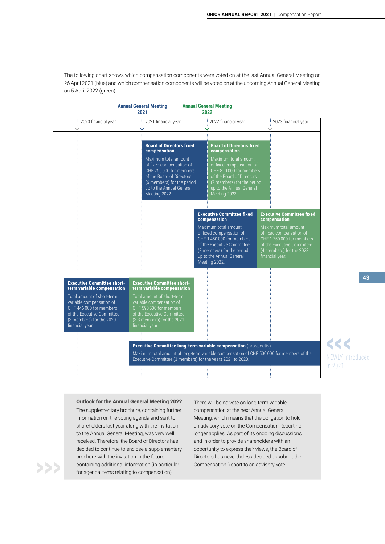The following chart shows which compensation components were voted on at the last Annual General Meeting on 26 April 2021 (blue) and which compensation components will be voted on at the upcoming Annual General Meeting on 5 April 2022 (green).

|                                                                                                                                                                | <b>Annual General Meeting</b><br>2021                                                                                                                                                                                                  | <b>Annual General Meeting</b><br>2022                                                                                                                                                                                                  |                                                                                                                                                                                            |
|----------------------------------------------------------------------------------------------------------------------------------------------------------------|----------------------------------------------------------------------------------------------------------------------------------------------------------------------------------------------------------------------------------------|----------------------------------------------------------------------------------------------------------------------------------------------------------------------------------------------------------------------------------------|--------------------------------------------------------------------------------------------------------------------------------------------------------------------------------------------|
| 2020 financial year                                                                                                                                            | 2021 financial year                                                                                                                                                                                                                    | 2022 financial year                                                                                                                                                                                                                    | 2023 financial year                                                                                                                                                                        |
|                                                                                                                                                                | <b>Board of Directors fixed</b><br>compensation<br>Maximum total amount<br>of fixed compensation of<br>CHF 765 000 for members<br>of the Board of Directors<br>(6 members) for the period<br>up to the Annual General<br>Meeting 2022. | <b>Board of Directors fixed</b><br>compensation<br>Maximum total amount<br>of fixed compensation of<br>CHF 810 000 for members<br>of the Board of Directors<br>(7 members) for the period<br>up to the Annual General<br>Meeting 2023. |                                                                                                                                                                                            |
|                                                                                                                                                                |                                                                                                                                                                                                                                        | <b>Executive Committee fixed</b><br>compensation<br>Maximum total amount<br>of fixed compensation of<br>CHF 1450 000 for members<br>of the Executive Committee<br>(3 members) for the period                                           | <b>Executive Committee fixed</b><br>compensation<br>Maximum total amount<br>of fixed compensation of<br>CHF 1750 000 for members<br>of the Executive Committee<br>(4 members) for the 2023 |
| <b>Executive Committee short-</b><br>term variable compensation                                                                                                | <b>Executive Committee short-</b><br>term variable compensation                                                                                                                                                                        | up to the Annual General<br>Meeting 2022.                                                                                                                                                                                              | financial year.                                                                                                                                                                            |
| Total amount of short-term<br>variable compensation of<br>CHF 446 000 for members<br>of the Executive Committee<br>(3 members) for the 2020<br>financial year. | Total amount of short-term<br>variable compensation of<br>CHF 593 500 for members<br>of the Executive Committee<br>(3.3 members) for the 2021<br>financial year.                                                                       |                                                                                                                                                                                                                                        |                                                                                                                                                                                            |
|                                                                                                                                                                | Executive Committee (3 members) for the years 2021 to 2023.                                                                                                                                                                            | Executive Committee long-term variable compensation (prospectiv)<br>Maximum total amount of long-term variable compensation of CHF 500 000 for members of the                                                                          |                                                                                                                                                                                            |
|                                                                                                                                                                |                                                                                                                                                                                                                                        |                                                                                                                                                                                                                                        |                                                                                                                                                                                            |

Outlook for the Annual General Meeting 2022

The supplementary brochure, containing further information on the voting agenda and sent to shareholders last year along with the invitation to the Annual General Meeting, was very well received. Therefore, the Board of Directors has decided to continue to enclose a supplementary brochure with the invitation in the future containing additional information (in particular for agenda items relating to compensation).<br>
for agenda items relating to compensation).

There will be no vote on long-term variable compensation at the next Annual General Meeting, which means that the obligation to hold an advisory vote on the Compensation Report no longer applies. As part of its ongoing discussions and in order to provide shareholders with an opportunity to express their views, the Board of Directors has nevertheless decided to submit the

<<< in 2021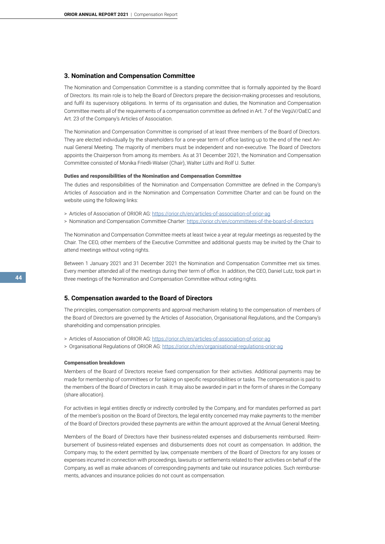# **3. Nomination and Compensation Committee**

The Nomination and Compensation Committee is a standing committee that is formally appointed by the Board of Directors. Its main role is to help the Board of Directors prepare the decision-making processes and resolutions, and fulfil its supervisory obligations. In terms of its organisation and duties, the Nomination and Compensation Committee meets all of the requirements of a compensation committee as defined in Art. 7 of the VegüV/OaEC and Art. 23 of the Company's Articles of Association.

The Nomination and Compensation Committee is comprised of at least three members of the Board of Directors. They are elected individually by the shareholders for a one-year term of office lasting up to the end of the next Annual General Meeting. The majority of members must be independent and non-executive. The Board of Directors appoints the Chairperson from among its members. As at 31 December 2021, the Nomination and Compensation Committee consisted of Monika Friedli-Walser (Chair), Walter Lüthi and Rolf U. Sutter.

#### Duties and responsibilities of the Nomination and Compensation Committee

The duties and responsibilities of the Nomination and Compensation Committee are defined in the Company's Articles of Association and in the Nomination and Compensation Committee Charter and can be found on the website using the following links:

- > Articles of Association of ORIOR AG:<https://orior.ch/en/articles-of-association-of-orior-ag>
- > Nomination and Compensation Committee Charter:<https://orior.ch/en/committees-of-the-board-of-directors>

The Nomination and Compensation Committee meets at least twice a year at regular meetings as requested by the Chair. The CEO, other members of the Executive Committee and additional guests may be invited by the Chair to attend meetings without voting rights.

Between 1 January 2021 and 31 December 2021 the Nomination and Compensation Committee met six times. Every member attended all of the meetings during their term of office. In addition, the CEO, Daniel Lutz, took part in three meetings of the Nomination and Compensation Committee without voting rights.

# **5. Compensation awarded to the Board of Directors**

The principles, compensation components and approval mechanism relating to the compensation of members of the Board of Directors are governed by the Articles of Association, Organisational Regulations, and the Company's shareholding and compensation principles.

> Articles of Association of ORIOR AG:<https://orior.ch/en/articles-of-association-of-orior-ag>

> Organisational Regulations of ORIOR AG:<https://orior.ch/en/organisational-regulations-orior-ag>

# Compensation breakdown

Members of the Board of Directors receive fixed compensation for their activities. Additional payments may be made for membership of committees or for taking on specific responsibilities or tasks. The compensation is paid to the members of the Board of Directors in cash. It may also be awarded in part in the form of shares in the Company (share allocation).

For activities in legal entities directly or indirectly controlled by the Company, and for mandates performed as part of the member's position on the Board of Directors, the legal entity concerned may make payments to the member of the Board of Directors provided these payments are within the amount approved at the Annual General Meeting.

Members of the Board of Directors have their business-related expenses and disbursements reimbursed. Reimbursement of business-related expenses and disbursements does not count as compensation. In addition, the Company may, to the extent permitted by law, compensate members of the Board of Directors for any losses or expenses incurred in connection with proceedings, lawsuits or settlements related to their activities on behalf of the Company, as well as make advances of corresponding payments and take out insurance policies. Such reimbursements, advances and insurance policies do not count as compensation.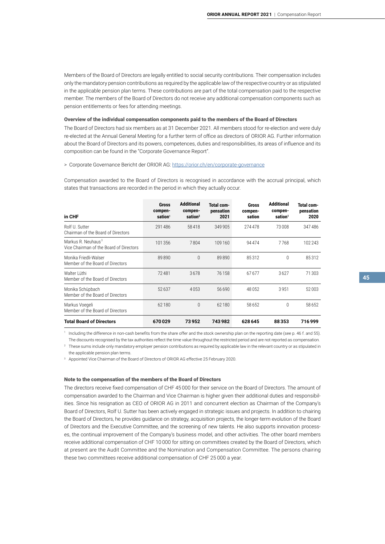Members of the Board of Directors are legally entitled to social security contributions. Their compensation includes only the mandatory pension contributions as required by the applicable law of the respective country or as stipulated in the applicable pension plan terms. These contributions are part of the total compensation paid to the respective member. The members of the Board of Directors do not receive any additional compensation components such as pension entitlements or fees for attending meetings.

### Overview of the individual compensation components paid to the members of the Board of Directors

The Board of Directors had six members as at 31 December 2021. All members stood for re-election and were duly re-elected at the Annual General Meeting for a further term of office as directors of ORIOR AG. Further information about the Board of Directors and its powers, competences, duties and responsibilities, its areas of influence and its composition can be found in the "Corporate Governance Report".

> Corporate Governance Bericht der ORIOR AG:<https://orior.ch/en/corporate-governance>

Compensation awarded to the Board of Directors is recognised in accordance with the accrual principal, which states that transactions are recorded in the period in which they actually occur.

| in CHF                                                                    | Gross<br>compen-<br>sation <sup>1</sup> | <b>Additional</b><br>compen-<br>sation <sup>2</sup> | Total com-<br>pensation<br>2021 | Gross<br>compen-<br>sation | <b>Additional</b><br>compen-<br>$s$ ation <sup>1</sup> | Total com-<br>pensation<br>2020 |
|---------------------------------------------------------------------------|-----------------------------------------|-----------------------------------------------------|---------------------------------|----------------------------|--------------------------------------------------------|---------------------------------|
| Rolf U. Sutter<br>Chairman of the Board of Directors                      | 291 486                                 | 58418                                               | 349 905                         | 274478                     | 73008                                                  | 347486                          |
| Markus R. Neuhaus <sup>3</sup><br>Vice Chairman of the Board of Directors | 101356                                  | 7804                                                | 109 160                         | 94474                      | 7768                                                   | 102 243                         |
| Monika Friedli-Walser<br>Member of the Board of Directors                 | 89890                                   | $\Omega$                                            | 89890                           | 85312                      | $\Omega$                                               | 85312                           |
| Walter Lüthi<br>Member of the Board of Directors                          | 72481                                   | 3678                                                | 76158                           | 67677                      | 3627                                                   | 71 303                          |
| Monika Schüpbach<br>Member of the Board of Directors                      | 52637                                   | 4053                                                | 56 690                          | 48052                      | 3951                                                   | 52003                           |
| Markus Voegeli<br>Member of the Board of Directors                        | 62180                                   | $\Omega$                                            | 62180                           | 58652                      | $\Omega$                                               | 58652                           |
| <b>Total Board of Directors</b>                                           | 670029                                  | 73952                                               | 743982                          | 628 645                    | 88353                                                  | 716999                          |

<sup>1</sup> Including the difference in non-cash benefits from the share offer and the stock ownership plan on the reporting date (see p. 46 f. and 55). The discounts recognised by the tax authorities reflect the time value throughout the restricted period and are not reported as compensation.

<sup>2</sup> These sums include only mandatory employer pension contributions as required by applicable law in the relevant country or as stipulated in the applicable pension plan terms.

<sup>3</sup> Appointed Vice Chairman of the Board of Directors of ORIOR AG effective 25 February 2020.

### Note to the compensation of the members of the Board of Directors

The directors receive fixed compensation of CHF 45 000 for their service on the Board of Directors. The amount of compensation awarded to the Chairman and Vice Chairman is higher given their additional duties and responsibilities. Since his resignation as CEO of ORIOR AG in 2011 and concurrent election as Chairman of the Company's Board of Directors, Rolf U. Sutter has been actively engaged in strategic issues and projects. In addition to chairing the Board of Directors, he provides guidance on strategy, acquisition projects, the longer-term evolution of the Board of Directors and the Executive Committee, and the screening of new talents. He also supports innovation processes, the continual improvement of the Company's business model, and other activities. The other board members receive additional compensation of CHF 10 000 for sitting on committees created by the Board of Directors, which at present are the Audit Committee and the Nomination and Compensation Committee. The persons chairing these two committees receive additional compensation of CHF 25 000 a year.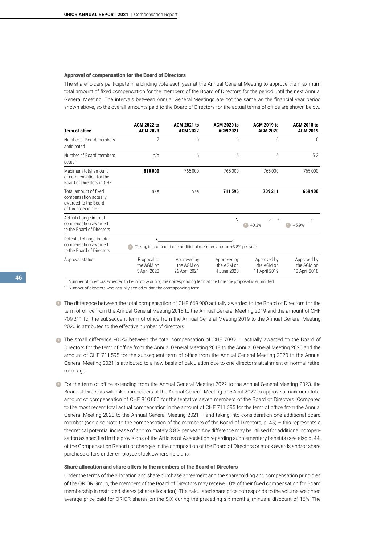#### Approval of compensation for the Board of Directors

The shareholders participate in a binding vote each year at the Annual General Meeting to approve the maximum total amount of fixed compensation for the members of the Board of Directors for the period until the next Annual General Meeting. The intervals between Annual General Meetings are not the same as the financial year period shown above, so the overall amounts paid to the Board of Directors for the actual terms of office are shown below.

| <b>Term of office</b>                                                                         | <b>AGM 2022 to</b><br><b>AGM 2023</b>     | AGM 2021 to<br><b>AGM 2022</b>                                   | <b>AGM 2020 to</b><br><b>AGM 2021</b>    | <b>AGM 2019 to</b><br><b>AGM 2020</b>      | <b>AGM 2018 to</b><br><b>AGM 2019</b>      |
|-----------------------------------------------------------------------------------------------|-------------------------------------------|------------------------------------------------------------------|------------------------------------------|--------------------------------------------|--------------------------------------------|
| Number of Board members<br>anticipated <sup>1</sup>                                           | 7                                         | 6                                                                | 6                                        | 6                                          | 6                                          |
| Number of Board members<br>actual <sup>2</sup>                                                | n/a                                       | 6                                                                | 6                                        | 6                                          | 5.2                                        |
| Maximum total amount<br>of compensation for the<br>Board of Directors in CHF                  | 810000                                    | 765000                                                           | 765000                                   | 765000                                     | 765000                                     |
| Total amount of fixed<br>compensation actually<br>awarded to the Board<br>of Directors in CHF | n/a                                       | n/a                                                              | 711595                                   | 709 211                                    | 669 900                                    |
| Actual change in total<br>compensation awarded<br>to the Board of Directors                   |                                           |                                                                  |                                          | $+0.3%$<br>$\left( 2\right)$               | $+5.9%$                                    |
| Potential change in total<br>compensation awarded<br>to the Board of Directors                |                                           | Taking into account one additional member: around +3.8% per year |                                          |                                            |                                            |
| Approval status                                                                               | Proposal to<br>the AGM on<br>5 April 2022 | Approved by<br>the AGM on<br>26 April 2021                       | Approved by<br>the AGM on<br>4 June 2020 | Approved by<br>the AGM on<br>11 April 2019 | Approved by<br>the AGM on<br>12 April 2018 |

<sup>1</sup> Number of directors expected to be in office during the corresponding term at the time the proposal is submitted.

<sup>2</sup> Number of directors who actually served during the corresponding term.

The difference between the total compensation of CHF 669 900 actually awarded to the Board of Directors for the term of office from the Annual General Meeting 2018 to the Annual General Meeting 2019 and the amount of CHF 709 211 for the subsequent term of office from the Annual General Meeting 2019 to the Annual General Meeting 2020 is attributed to the effective number of directors.

- The small difference +0.3% between the total compensation of CHF 709 211 actually awarded to the Board of **2** Directors for the term of office from the Annual General Meeting 2019 to the Annual General Meeting 2020 and the amount of CHF 711 595 for the subsequent term of office from the Annual General Meeting 2020 to the Annual General Meeting 2021 is attributed to a new basis of calculation due to one director's attainment of normal retirement age.
- For the term of office extending from the Annual General Meeting 2022 to the Annual General Meeting 2023, the **3**Board of Directors will ask shareholders at the Annual General Meeting of 5 April 2022 to approve a maximum total amount of compensation of CHF 810 000 for the tentative seven members of the Board of Directors. Compared to the most recent total actual compensation in the amount of CHF 711 595 for the term of office from the Annual General Meeting 2020 to the Annual General Meeting 2021 – and taking into consideration one additional board member (see also Note to the compensation of the members of the Board of Directors, p. 45) – this represents a theoretical potential increase of approximately 3.8 % per year. Any difference may be utilised for additional compensation as specified in the provisions of the Articles of Association regarding supplementary benefits (see also p. 44. of the Compensation Report) or changes in the composition of the Board of Directors or stock awards and/or share purchase offers under employee stock ownership plans.

#### Share allocation and share offers to the members of the Board of Directors

Under the terms of the allocation and share purchase agreement and the shareholding and compensation principles of the ORIOR Group, the members of the Board of Directors may receive 10% of their fixed compensation for Board membership in restricted shares (share allocation). The calculated share price corresponds to the volume-weighted average price paid for ORIOR shares on the SIX during the preceding six months, minus a discount of 16%. The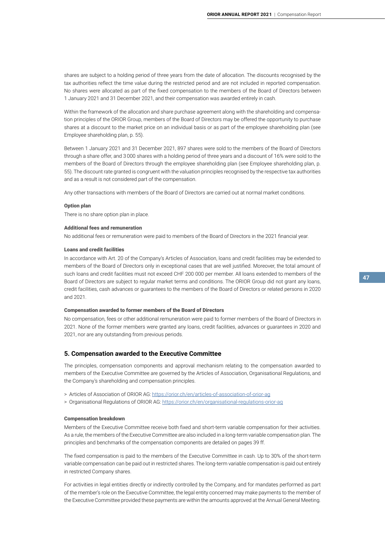shares are subject to a holding period of three years from the date of allocation. The discounts recognised by the tax authorities reflect the time value during the restricted period and are not included in reported compensation. No shares were allocated as part of the fixed compensation to the members of the Board of Directors between 1 January 2021 and 31 December 2021, and their compensation was awarded entirely in cash.

Within the framework of the allocation and share purchase agreement along with the shareholding and compensation principles of the ORIOR Group, members of the Board of Directors may be offered the opportunity to purchase shares at a discount to the market price on an individual basis or as part of the employee shareholding plan (see Employee shareholding plan, p. 55).

Between 1 January 2021 and 31 December 2021, 897 shares were sold to the members of the Board of Directors through a share offer, and 3 000 shares with a holding period of three years and a discount of 16% were sold to the members of the Board of Directors through the employee shareholding plan (see Employee shareholding plan, p. 55). The discount rate granted is congruent with the valuation principles recognised by the respective tax authorities and as a result is not considered part of the compensation.

Any other transactions with members of the Board of Directors are carried out at normal market conditions.

#### Option plan

There is no share option plan in place.

#### Additional fees and remuneration

No additional fees or remuneration were paid to members of the Board of Directors in the 2021 financial year.

#### Loans and credit facilities

In accordance with Art. 20 of the Company's Articles of Association, loans and credit facilities may be extended to members of the Board of Directors only in exceptional cases that are well justified. Moreover, the total amount of such loans and credit facilities must not exceed CHF 200 000 per member. All loans extended to members of the Board of Directors are subject to regular market terms and conditions. The ORIOR Group did not grant any loans, credit facilities, cash advances or guarantees to the members of the Board of Directors or related persons in 2020 and 2021.

#### Compensation awarded to former members of the Board of Directors

No compensation, fees or other additional remuneration were paid to former members of the Board of Directors in 2021. None of the former members were granted any loans, credit facilities, advances or guarantees in 2020 and 2021, nor are any outstanding from previous periods.

# **5. Compensation awarded to the Executive Committee**

The principles, compensation components and approval mechanism relating to the compensation awarded to members of the Executive Committee are governed by the Articles of Association, Organisational Regulations, and the Company's shareholding and compensation principles.

- > Articles of Association of ORIOR AG:<https://orior.ch/en/articles-of-association-of-orior-ag>
- > Organisational Regulations of ORIOR AG:<https://orior.ch/en/organisational-regulations-orior-ag>

### Compensation breakdown

Members of the Executive Committee receive both fixed and short-term variable compensation for their activities. As a rule, the members of the Executive Committee are also included in a long-term variable compensation plan. The principles and benchmarks of the compensation components are detailed on pages 39 ff.

The fixed compensation is paid to the members of the Executive Committee in cash. Up to 30% of the short-term variable compensation can be paid out in restricted shares. The long-term variable compensation is paid out entirely in restricted Company shares.

For activities in legal entities directly or indirectly controlled by the Company, and for mandates performed as part of the member's role on the Executive Committee, the legal entity concerned may make payments to the member of the Executive Committee provided these payments are within the amounts approved at the Annual General Meeting.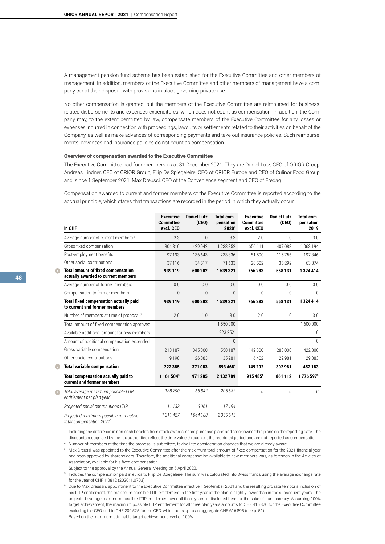A management pension fund scheme has been established for the Executive Committee and other members of management. In addition, members of the Executive Committee and other members of management have a company car at their disposal, with provisions in place governing private use.

No other compensation is granted, but the members of the Executive Committee are reimbursed for businessrelated disbursements and expenses expenditures, which does not count as compensation. In addition, the Company may, to the extent permitted by law, compensate members of the Executive Committee for any losses or expenses incurred in connection with proceedings, lawsuits or settlements related to their activities on behalf of the Company, as well as make advances of corresponding payments and take out insurance policies. Such reimbursements, advances and insurance policies do not count as compensation.

### Overview of compensation awarded to the Executive Committee

The Executive Committee had four members as at 31 December 2021. They are Daniel Lutz, CEO of ORIOR Group, Andreas Lindner, CFO of ORIOR Group, Filip De Spiegeleire, CEO of ORIOR Europe and CEO of Culinor Food Group, and, since 1 September 2021, Max Dreussi, CEO of the Convenience segment and CEO of Fredag.

Compensation awarded to current and former members of the Executive Committee is reported according to the accrual principle, which states that transactions are recorded in the period in which they actually occur.

|                | in CHF                                                                           | <b>Executive</b><br><b>Committee</b><br>excl. CEO | <b>Daniel Lutz</b><br>(CEO) | Total com-<br>pensation<br>2020 <sup>1</sup> | <b>Executive</b><br><b>Committee</b><br>excl. CEO | <b>Daniel Lutz</b><br>(CEO) | <b>Total com-</b><br>pensation<br>2019 |
|----------------|----------------------------------------------------------------------------------|---------------------------------------------------|-----------------------------|----------------------------------------------|---------------------------------------------------|-----------------------------|----------------------------------------|
|                | Average number of current members <sup>2</sup>                                   | 2.3                                               | 1.0                         | 3.3                                          | 2.0                                               | 1.0                         | 3.0                                    |
|                | Gross fixed compensation                                                         | 804810                                            | 429042                      | 1 233 852                                    | 656 111                                           | 407083                      | 1063194                                |
|                | Post-employment benefits                                                         | 97193                                             | 136 643                     | 233836                                       | 81590                                             | 115756                      | 197346                                 |
|                | Other social contributions                                                       | 37116                                             | 34517                       | 71 633                                       | 28 5 82                                           | 35292                       | 63874                                  |
|                | <b>Total amount of fixed compensation</b><br>actually awarded to current members | 939119                                            | 600 202                     | 1539321                                      | 766283                                            | 558131                      | 1324414                                |
|                | Average number of former members                                                 | 0.0                                               | 0.0                         | 0.0                                          | 0.0                                               | 0.0                         | 0.0                                    |
|                | Compensation to former members                                                   | $\mathbf{0}$                                      | $\theta$                    | 0                                            | 0                                                 | 0                           | $\Omega$                               |
|                | Total fixed compensation actually paid<br>to current and former members          | 939119                                            | 600 202                     | 1539321                                      | 766283                                            | 558 131                     | 1324414                                |
|                | Number of members at time of proposal <sup>3</sup>                               | 2.0                                               | 1.0                         | 3.0                                          | 2.0                                               | 1.0                         | 3.0                                    |
|                | Total amount of fixed compensation approved                                      |                                                   |                             | 1550000                                      |                                                   |                             | 1600000                                |
|                | Available additional amount for new members                                      |                                                   |                             | 223 2523                                     |                                                   |                             | $\Omega$                               |
|                | Amount of additional compensation expended                                       |                                                   |                             | $\Omega$                                     |                                                   |                             | $\Omega$                               |
|                | Gross variable compensation                                                      | 213187                                            | 345 000                     | 558 187                                      | 142800                                            | 280 000                     | 422800                                 |
|                | Other social contributions                                                       | 9198                                              | 26083                       | 35 28 1                                      | 6402                                              | 22981                       | 29 3 8 3                               |
| $\overline{2}$ | <b>Total variable compensation</b>                                               | 222385                                            | 371083                      | 593 4684                                     | 149 202                                           | 302981                      | 452183                                 |
|                | Total compensation actually paid to<br>current and former members                | 1 1 6 1 5 0 4 5                                   | 971 285                     | 2132789                                      | 915 485 <sup>5</sup>                              | 861 112                     | 1776 597 <sup>5</sup>                  |
| G              | Total average maximum possible LTIP<br>entitlement per plan year <sup>6</sup>    | 138790                                            | 66842                       | 205632                                       | $\theta$                                          | $\theta$                    | $\theta$                               |
|                | Projected social contributions LTIP                                              | 11 133                                            | 6061                        | 17194                                        |                                                   |                             |                                        |
|                | Projected maximum possible retroactive<br>total compensation 2021 <sup>7</sup>   | 1311427                                           | 1044188                     | 2355615                                      |                                                   |                             |                                        |

<sup>1</sup> Including the difference in non-cash benefits from stock awards, share purchase plans and stock ownership plans on the reporting date. The discounts recognised by the tax authorities reflect the time value throughout the restricted period and are not reported as compensation.

<sup>2</sup> Number of members at the time the proposal is submitted, taking into consideration changes that we are already aware.

<sup>3</sup> Max Dreussi was appointed to the Executive Committee after the maximum total amount of fixed compensation for the 2021 financial year had been approved by shareholders. Therefore, the additional compensation available to new members was, as foreseen in the Articles of Association, available for his fixed compensation.

<sup>4</sup> Subject to the approval by the Annual General Meeting on 5 April 2022.

<sup>5</sup> Includes the compensation paid in euros to Filip De Spiegeleire. The sum was calculated into Swiss francs using the average exchange rate for the year of CHF 1.0812 (2020: 1.0703).

<sup>6</sup> Due to Max Dreussi's appointment to the Executive Committee effective 1 September 2021 and the resulting pro rata temporis inclusion of his LTIP entitlement, the maximum possible LTIP entitlement in the first year of the plan is slightly lower than in the subsequent years. The projected average maximum possible LTIP entitlement over all three years is disclosed here for the sake of transparency. Assuming 100% target achievement, the maximum possible LTIP entitlement for all three plan years amounts to CHF 416 370 for the Executive Committee excluding the CEO and to CHF 200 525 for the CEO, which adds up to an aggregate CHF 616 895 (see p. 51).

Based on the maximum attainable target achievement level of 100%.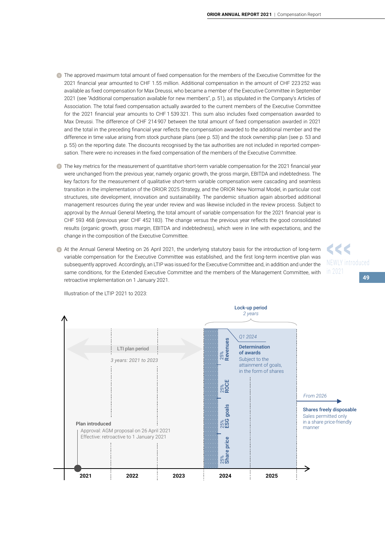- The approved maximum total amount of fixed compensation for the members of the Executive Committee for the **1** 2021 financial year amounted to CHF 1.55 million. Additional compensation in the amount of CHF 223 252 was available as fixed compensation for Max Dreussi, who became a member of the Executive Committee in September 2021 (see "Additional compensation available for new members", p. 51), as stipulated in the Company's Articles of Association. The total fixed compensation actually awarded to the current members of the Executive Committee for the 2021 financial year amounts to CHF 1 539 321. This sum also includes fixed compensation awarded to Max Dreussi. The difference of CHF 214 907 between the total amount of fixed compensation awarded in 2021 and the total in the preceding financial year reflects the compensation awarded to the additional member and the difference in time value arising from stock purchase plans (see p. 53) and the stock ownership plan (see p. 53 and p. 55) on the reporting date. The discounts recognised by the tax authorities are not included in reported compensation. There were no increases in the fixed compensation of the members of the Executive Committee.
- The key metrics for the measurement of quantitative short-term variable compensation for the 2021 financial year **2** were unchanged from the previous year, namely organic growth, the gross margin, EBITDA and indebtedness. The key factors for the measurement of qualitative short-term variable compensation were cascading and seamless transition in the implementation of the ORIOR 2025 Strategy, and the ORIOR New Normal Model, in particular cost structures, site development, innovation and sustainability. The pandemic situation again absorbed additional management resources during the year under review and was likewise included in the review process. Subject to approval by the Annual General Meeting, the total amount of variable compensation for the 2021 financial year is CHF 593 468 (previous year: CHF 452 183). The change versus the previous year reflects the good consolidated results (organic growth, gross margin, EBITDA and indebtedness), which were in line with expectations, and the change in the composition of the Executive Committee.
- At the Annual General Meeting on 26 April 2021, the underlying statutory basis for the introduction of long-term **3**variable compensation for the Executive Committee was established, and the first long-term incentive plan was subsequently approved. Accordingly, an LTIP was issued for the Executive Committee and, in addition and under the same conditions, for the Extended Executive Committee and the members of the Management Committee, with retroactive implementation on 1 January 2021.



Illustration of the LTIP 2021 to 2023:

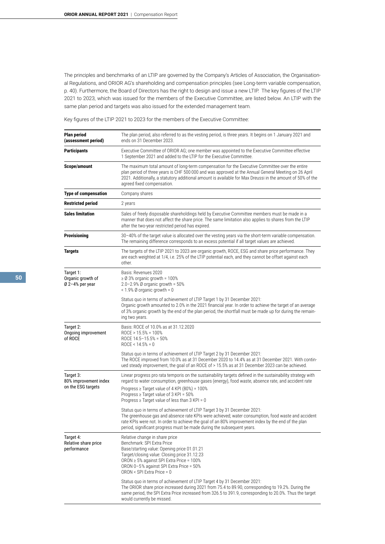The principles and benchmarks of an LTIP are governed by the Company's Articles of Association, the Organisational Regulations, and ORIOR AG's shareholding and compensation principles (see Long-term variable compensation, p. 40). Furthermore, the Board of Directors has the right to design and issue a new LTIP. The key figures of the LTIP 2021 to 2023, which was issued for the members of the Executive Committee, are listed below. An LTIP with the same plan period and targets was also issued for the extended management team.

Key figures of the LTIP 2021 to 2023 for the members of the Executive Committee:

| <b>Plan period</b><br>(assessment period)                | The plan period, also referred to as the vesting period, is three years. It begins on 1 January 2021 and<br>ends on 31 December 2023.                                                                                                                                                                                                                                          |
|----------------------------------------------------------|--------------------------------------------------------------------------------------------------------------------------------------------------------------------------------------------------------------------------------------------------------------------------------------------------------------------------------------------------------------------------------|
| Participants                                             | Executive Committee of ORIOR AG; one member was appointed to the Executive Committee effective<br>1 September 2021 and added to the LTIP for the Executive Committee.                                                                                                                                                                                                          |
| Scope/amount                                             | The maximum total amount of long-term compensation for the Executive Committee over the entire<br>plan period of three years is CHF 500 000 and was approved at the Annual General Meeting on 26 April<br>2021. Additionally, a statutory additional amount is available for Max Dreussi in the amount of 50% of the<br>agreed fixed compensation.                             |
| <b>Type of compensation</b>                              | Company shares                                                                                                                                                                                                                                                                                                                                                                 |
| <b>Restricted period</b>                                 | 2 years                                                                                                                                                                                                                                                                                                                                                                        |
| <b>Sales limitation</b>                                  | Sales of freely disposable shareholdings held by Executive Committee members must be made in a<br>manner that does not affect the share price. The same limitation also applies to shares from the LTIP<br>after the two-year restricted period has expired.                                                                                                                   |
| <b>Provisioning</b>                                      | 30-40% of the target value is allocated over the vesting years via the short-term variable compensation.<br>The remaining difference corresponds to an excess potential if all target values are achieved.                                                                                                                                                                     |
| <b>Targets</b>                                           | The targets of the LTIP 2021 to 2023 are organic growth, ROCE, ESG and share price performance. They<br>are each weighted at 1/4, i.e. 25% of the LTIP potential each, and they cannot be offset against each<br>other.                                                                                                                                                        |
| Target 1:<br>Organic growth of<br>$Ø 2-4%$ per year      | Basis: Revenues 2020<br>$\geq$ 0 3% organic growth = 100%<br>$2.0 - 2.9\%$ Ø organic growth = 50%<br>$\leq$ 1.9% Ø organic growth = 0                                                                                                                                                                                                                                          |
|                                                          | Status quo in terms of achievement of LTIP Target 1 by 31 December 2021:<br>Organic growth amounted to 2.0% in the 2021 financial year. In order to achieve the target of an average<br>of 3% organic growth by the end of the plan period, the shortfall must be made up for during the remain-<br>ing two years.                                                             |
| Target 2:<br>Ongoing improvement<br>of ROCE              | Basis: ROCE of 10.0% as at 31.12.2020<br>$ROCE > 15.5\% = 100\%$<br>ROCE $14.5 - 15.5\% = 50\%$<br>$ROCE < 14.5\% = 0$                                                                                                                                                                                                                                                         |
|                                                          | Status quo in terms of achievement of LTIP Target 2 by 31 December 2021:<br>The ROCE improved from 10.0% as at 31 December 2020 to 14.4% as at 31 December 2021. With contin-<br>ued steady improvement, the goal of an ROCE of > 15.5% as at 31 December 2023 can be achieved.                                                                                                |
| Target 3:<br>80% improvement index<br>on the ESG targets | Linear progress pro rata temporis on the sustainability targets defined in the sustainability strategy with<br>regard to water consumption, greenhouse gases (energy), food waste, absence rate, and accident rate<br>Progress $\geq$ Target value of 4 KPI (80%) = 100%<br>Progress $\geq$ Target value of 3 KPI = 50%<br>Progress $\geq$ Target value of less than 3 KPI = 0 |
|                                                          | Status quo in terms of achievement of LTIP Target 3 by 31 December 2021:<br>The greenhouse gas and absence rate KPIs were achieved; water consumption, food waste and accident<br>rate KPIs were not. In order to achieve the goal of an 80% improvement index by the end of the plan<br>period, significant progress must be made during the subsequent years.                |
| Target 4:<br>Relative share price<br>performance         | Relative change in share price<br>Benchmark: SPI Extra Price<br>Base/starting value: Opening price 01.01.21<br>Target/closing value: Closing price 31.12.23<br>ORON ≥ 5% against SPI Extra Price = 100%<br>ORON 0-5% against SPI Extra Price = 50%<br>ORON < SPI Extra Price = 0                                                                                               |
|                                                          | Status quo in terms of achievement of LTIP Target 4 by 31 December 2021:<br>The ORIOR share price increased during 2021 from 75.4 to 89.90, corresponding to 19.2%. During the<br>same period, the SPI Extra Price increased from 326.5 to 391.9, corresponding to 20.0%. Thus the target<br>would currently be missed.                                                        |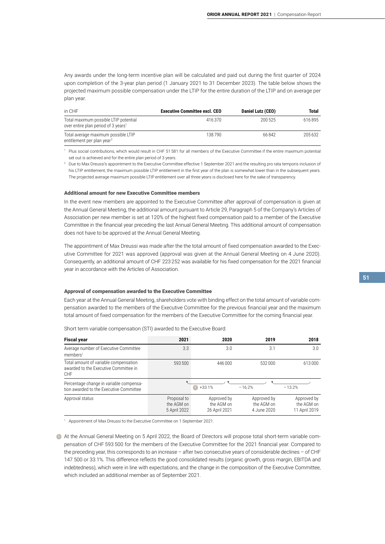Any awards under the long-term incentive plan will be calculated and paid out during the first quarter of 2024 upon completion of the 3-year plan period (1 January 2021 to 31 December 2023). The table below shows the projected maximum possible compensation under the LTIP for the entire duration of the LTIP and on average per plan year.

| in CHF                                                                                   | <b>Executive Committee excl. CEO</b> | Daniel Lutz (CEO) | Total  |
|------------------------------------------------------------------------------------------|--------------------------------------|-------------------|--------|
| Total maximum possible LTIP potential<br>over entire plan period of 3 years <sup>1</sup> | 416370                               | 200 525           | 616895 |
| Total average maximum possible LTIP<br>entitlement per plan year <sup>2</sup>            | 138 790                              | 66842             | 205632 |

Plus social contributions, which would result in CHF 51 581 for all members of the Executive Committee if the entire maximum potential set out is achieved and for the entire plan period of 3 years.

<sup>2</sup> Due to Max Dreussi's appointment to the Executive Committee effective 1 September 2021 and the resulting pro rata temporis inclusion of his LTIP entitlement, the maximum possible LTIP entitlement in the first year of the plan is somewhat lower than in the subsequent years. The projected average maximum possible LTIP entitlement over all three years is disclosed here for the sake of transparency.

### Additional amount for new Executive Committee members

In the event new members are appointed to the Executive Committee after approval of compensation is given at the Annual General Meeting, the additional amount pursuant to Article 29, Paragraph 5 of the Company's Articles of Association per new member is set at 120% of the highest fixed compensation paid to a member of the Executive Committee in the financial year preceding the last Annual General Meeting. This additional amount of compensation does not have to be approved at the Annual General Meeting.

The appointment of Max Dreussi was made after the the total amount of fixed compensation awarded to the Executive Committee for 2021 was approved (approval was given at the Annual General Meeting on 4 June 2020). Consequently, an additional amount of CHF 223 252 was available for his fixed compensation for the 2021 financial year in accordance with the Articles of Association.

#### Approval of compensation awarded to the Executive Committee

Each year at the Annual General Meeting, shareholders vote with binding effect on the total amount of variable compensation awarded to the members of the Executive Committee for the previous financial year and the maximum total amount of fixed compensation for the members of the Executive Committee for the coming financial year.

**Fiscal year 2021 2020 2019 2018** Average number of Executive Committee members<sup>1</sup> 3.3 3.0 3.1 3.0 Total amount of variable compensation awarded to the Executive Committee in CHF 593 500 446 000 532 000 613 000 Percentage change in variable compensation awarded to the Executive Committee Approval status **Proposal to** the AGM on 5 April 2022 Approved by the AGM on 26 April 2021 Approved by the AGM on 4 June 2020 Approved by the AGM on 11 April 2019 **<sup>1</sup>** +33.1% – 16.2% – 13.2%

Short term variable compensation (STI) awarded to the Executive Board:

<sup>1</sup> Appointment of Max Dreussi to the Executive Committee on 1 September 2021.

At the Annual General Meeting on 5 April 2022, the Board of Directors will propose total short-term variable com-**1**pensation of CHF 593 500 for the members of the Executive Committee for the 2021 financial year. Compared to the preceding year, this corresponds to an increase – after two consecutive years of considerable declines – of CHF 147 500 or 33.1%. This difference reflects the good consolidated results (organic growth, gross margin, EBITDA and indebtedness), which were in line with expectations, and the change in the composition of the Executive Committee, which included an additional member as of September 2021.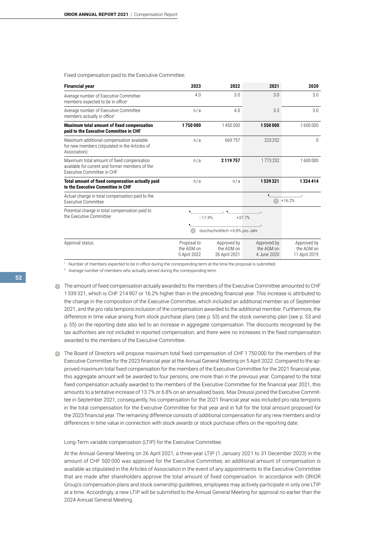Fixed compensation paid to the Executive Committee:

| <b>Financial year</b>                                                                                                       | 2023                                      | 2022                                       | 2021                                     | 2020                                       |
|-----------------------------------------------------------------------------------------------------------------------------|-------------------------------------------|--------------------------------------------|------------------------------------------|--------------------------------------------|
| Average number of Executive Committee<br>members expected to be in office <sup>1</sup>                                      | 4.0                                       | 3.0                                        | 3.0                                      | 3.0                                        |
| Average number of Executive Committee<br>members actually in office <sup>2</sup>                                            | n/a                                       | 4.0                                        | 3.3                                      | 3.0                                        |
| Maximum total amount of fixed compensation<br>paid to the Executive Committee in CHF                                        | 1750000                                   | 1450000                                    | 1550000                                  | 1600000                                    |
| Maximum additional compensation available<br>for new members (stipulated in the Articles of<br>Association)                 | n/a                                       | 669757                                     | 223252                                   | $\Omega$                                   |
| Maximum total amount of fixed compensation<br>available for current and former members of the<br>Executive Committee in CHF | n/a                                       | 2119757                                    | 1773252                                  | 1600000                                    |
| Total amount of fixed compensation actually paid<br>to the Executive Committee in CHF                                       | n/a                                       | n/a                                        | 1539321                                  | 1324414                                    |
| Actual change in total compensation paid to the<br><b>Executive Committee</b>                                               |                                           |                                            |                                          | $+16.2%$                                   |
| Potential change in total compensation paid to<br>the Executive Committee                                                   | $-17.4%$                                  | durchschnittlich +6.8% pro Jahr            | $+37.7%$                                 |                                            |
| Approval status                                                                                                             | Proposal to<br>the AGM on<br>5 April 2022 | Approved by<br>the AGM on<br>26 April 2021 | Approved by<br>the AGM on<br>4 June 2020 | Approved by<br>the AGM on<br>11 April 2019 |

<sup>1</sup> Number of members expected to be in office during the corresponding term at the time the proposal is submitted.

<sup>2</sup> Average number of members who actually served during the corresponding term.

The amount of fixed compensation actually awarded to the members of the Executive Committee amounted to CHF **1** 1539 321, which is CHF 214 907 or 16.2% higher than in the preceding financial year. This increase is attributed to the change in the composition of the Executive Committee, which included an additional member as of September 2021, and the pro rata temporis inclusion of the compensation awarded to the additional member. Furthermore, the difference in time value arising from stock purchase plans (see p. 53) and the stock ownership plan (see p. 53 and p. 55) on the reporting date also led to an increase in aggregate compensation. The discounts recognised by the tax authorities are not included in reported compensation, and there were no increases in the fixed compensation awarded to the members of the Executive Committee.

2) The Board of Directors will propose maximum total fixed compensation of CHF 1 750 000 for the members of the Executive Committee for the 2023 financial year at the Annual General Meeting on 5 April 2022. Compared to the approved maximum total fixed compensation for the members of the Executive Committee for the 2021 financial year, this aggregate amount will be awarded to four persons, one more than in the previous year. Compared to the total fixed compensation actually awarded to the members of the Executive Committee for the financial year 2021, this amounts to a tentative increase of 13.7% or 6.8% on an annualised basis. Max Dreussi joined the Executive Committee in September 2021; consequently, his compensation for the 2021 financial year was included pro rata temporis in the total compensation for the Executive Committee for that year and in full for the total amount proposed for the 2023 financial year. The remaining difference consists of additional compensation for any new members and/or differences in time value in connection with stock awards or stock purchase offers on the reporting date.

Long-Term variable compensation (LTIP) for the Executive Committee:

At the Annual General Meeting on 26 April 2021, a three-year LTIP (1 January 2021 to 31 December 2023) in the amount of CHF 500 000 was approved for the Executive Committee; an additional amount of compensation is available as stipulated in the Articles of Association in the event of any appointments to the Executive Committee that are made after shareholders approve the total amount of fixed compensation. In accordance with ORIOR Group's compensation plans and stock ownership guidelines, employees may actively participate in only one LTIP at a time. Accordingly, a new LTIP will be submitted to the Annual General Meeting for approval no earlier than the 2024 Annual General Meeting.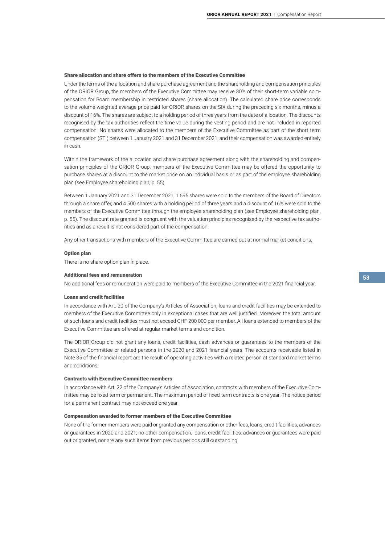# Share allocation and share offers to the members of the Executive Committee

Under the terms of the allocation and share purchase agreement and the shareholding and compensation principles of the ORIOR Group, the members of the Executive Committee may receive 30% of their short-term variable compensation for Board membership in restricted shares (share allocation). The calculated share price corresponds to the volume-weighted average price paid for ORIOR shares on the SIX during the preceding six months, minus a discount of 16%. The shares are subject to a holding period of three years from the date of allocation. The discounts recognised by the tax authorities reflect the time value during the vesting period and are not included in reported compensation. No shares were allocated to the members of the Executive Committee as part of the short term compensation (STI) between 1 January 2021 and 31 December 2021, and their compensation was awarded entirely in cash.

Within the framework of the allocation and share purchase agreement along with the shareholding and compensation principles of the ORIOR Group, members of the Executive Committee may be offered the opportunity to purchase shares at a discount to the market price on an individual basis or as part of the employee shareholding plan (see Employee shareholding plan, p. 55).

Between 1 January 2021 and 31 December 2021, 1 695 shares were sold to the members of the Board of Directors through a share offer, and 4 500 shares with a holding period of three years and a discount of 16% were sold to the members of the Executive Committee through the employee shareholding plan (see Employee shareholding plan, p. 55). The discount rate granted is congruent with the valuation principles recognised by the respective tax authorities and as a result is not considered part of the compensation.

Any other transactions with members of the Executive Committee are carried out at normal market conditions.

### Option plan

There is no share option plan in place.

#### Additional fees and remuneration

No additional fees or remuneration were paid to members of the Executive Committee in the 2021 financial year.

### Loans and credit facilities

In accordance with Art. 20 of the Company's Articles of Association, loans and credit facilities may be extended to members of the Executive Committee only in exceptional cases that are well justified. Moreover, the total amount of such loans and credit facilities must not exceed CHF 200 000 per member. All loans extended to members of the Executive Committee are offered at regular market terms and condition.

The ORIOR Group did not grant any loans, credit facilities, cash advances or guarantees to the members of the Executive Committee or related persons in the 2020 and 2021 financial years. The accounts receivable listed in Note 35 of the financial report are the result of operating activities with a related person at standard market terms and conditions.

# Contracts with Executive Committee members

In accordance with Art. 22 of the Company's Articles of Association, contracts with members of the Executive Committee may be fixed-term or permanent. The maximum period of fixed-term contracts is one year. The notice period for a permanent contract may not exceed one year.

### Compensation awarded to former members of the Executive Committee

None of the former members were paid or granted any compensation or other fees, loans, credit facilities, advances or guarantees in 2020 and 2021; no other compensation, loans, credit facilities, advances or guarantees were paid out or granted, nor are any such items from previous periods still outstanding.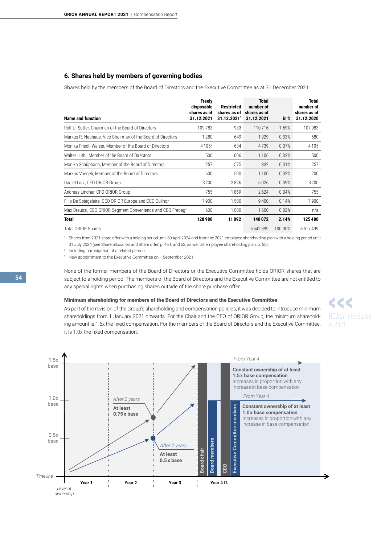# **6. Shares held by members of governing bodies**

Shares held by the members of the Board of Directors and the Executive Committee as at 31 December 2021:

| Name and function                                                      | Freely<br>disposable<br>shares as of<br>31.12.2021 | Restricted<br>shares as of<br>31.12.2021 | <b>Total</b><br>number of<br>shares as of<br>31.12.2021 | in %    | Total<br>number of<br>shares as of<br>31.12.2020 |
|------------------------------------------------------------------------|----------------------------------------------------|------------------------------------------|---------------------------------------------------------|---------|--------------------------------------------------|
| Rolf U. Sutter, Chairman of the Board of Directors                     | 109783                                             | 933                                      | 110716                                                  | 1.69%   | 107983                                           |
| Markus R. Neuhaus, Vice Chairman of the Board of Directors             | 1280                                               | 649                                      | 1929                                                    | 0.03%   | 580                                              |
| Monika Friedli-Walser, Member of the Board of Directors                | 4 1 0 5 $2^{\circ}$                                | 634                                      | 4739                                                    | 0.07%   | 4105                                             |
| Walter Lüthi, Member of the Board of Directors                         | 500                                                | 606                                      | 1106                                                    | 0.02%   | 500                                              |
| Monika Schüpbach, Member of the Board of Directors                     | 257                                                | 575                                      | 832                                                     | 0.01%   | 257                                              |
| Markus Voegeli, Member of the Board of Directors                       | 600                                                | 500                                      | 1100                                                    | 0.02%   | 200                                              |
| Daniel Lutz, CEO ORIOR Group                                           | 3200                                               | 2826                                     | 6026                                                    | 0.09%   | 3200                                             |
| Andreas Lindner, CFO ORIOR Group                                       | 755                                                | 1869                                     | 2624                                                    | 0.04%   | 755                                              |
| Filip De Spiegeleire, CEO ORIOR Europe and CEO Culinor                 | 7900                                               | 1500                                     | 9400                                                    | 0.14%   | 7900                                             |
| Max Dreussi, CEO ORIOR Segment Convenience and CEO Fredag <sup>3</sup> | 600                                                | 1000                                     | 1600                                                    | 0.02%   | n/a                                              |
| <b>Total</b>                                                           | 128980                                             | 11092                                    | 140072                                                  | 2.14%   | 125480                                           |
| <b>Total ORIOR Shares</b>                                              |                                                    |                                          | 6542399                                                 | 100.00% | 6517499                                          |

<sup>1</sup> Shares from 2021 share offer with a holding period until 30 April 2024 and from the 2021 employee shareholding plan with a holding period until 31 July 2024 (see Share allocation and Share offer, p. 46 f. and 53, as well as employee shareholding plan, p. 55).

<sup>2</sup> Including participation of a related person.

New appointment to the Executive Committee on 1 September 2021.

None of the former members of the Board of Directors or the Executive Committee holds ORIOR shares that are subject to a holding period. The members of the Board of Directors and the Executive Committee are not entitled to any special rights when purchasing shares outside of the share purchase offer.

# Minimum shareholding for members of the Board of Directors and the Executive Committee

As part of the revision of the Group's shareholding and compensation policies, it was decided to introduce minimum shareholdings from 1 January 2021 onwards. For the Chair and the CEO of ORIOR Group, the minimum shareholding amount is 1.5x the fixed compensation. For the members of the Board of Directors and the Executive Committee, it is 1.0x the fixed compensation.



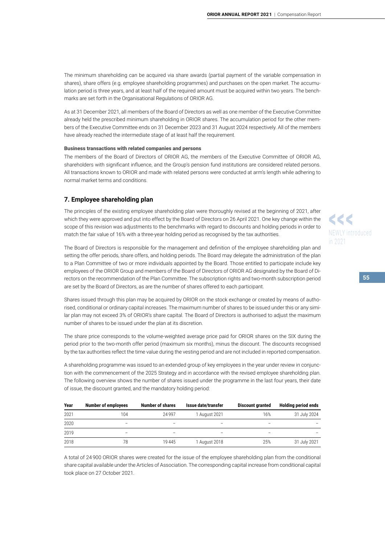The minimum shareholding can be acquired via share awards (partial payment of the variable compensation in shares), share offers (e.g. employee shareholding programmes) and purchases on the open market. The accumulation period is three years, and at least half of the required amount must be acquired within two years. The benchmarks are set forth in the Organisational Regulations of ORIOR AG.

As at 31 December 2021, all members of the Board of Directors as well as one member of the Executive Committee already held the prescribed minimum shareholding in ORIOR shares. The accumulation period for the other members of the Executive Committee ends on 31 December 2023 and 31 August 2024 respectively. All of the members have already reached the intermediate stage of at least half the requirement.

### Business transactions with related companies and persons

The members of the Board of Directors of ORIOR AG, the members of the Executive Committee of ORIOR AG, shareholders with significant influence, and the Group's pension fund institutions are considered related persons. All transactions known to ORIOR and made with related persons were conducted at arm's length while adhering to normal market terms and conditions.

# **7. Employee shareholding plan**

The principles of the existing employee shareholding plan were thoroughly revised at the beginning of 2021, after which they were approved and put into effect by the Board of Directors on 26 April 2021. One key change within the scope of this revision was adjustments to the benchmarks with regard to discounts and holding periods in order to match the fair value of 16% with a three-year holding period as recognised by the tax authorities.

The Board of Directors is responsible for the management and definition of the employee shareholding plan and setting the offer periods, share offers, and holding periods. The Board may delegate the administration of the plan to a Plan Committee of two or more individuals appointed by the Board. Those entitled to participate include key employees of the ORIOR Group and members of the Board of Directors of ORIOR AG designated by the Board of Directors on the recommendation of the Plan Committee. The subscription rights and two-month subscription period are set by the Board of Directors, as are the number of shares offered to each participant.

Shares issued through this plan may be acquired by ORIOR on the stock exchange or created by means of authorised, conditional or ordinary capital increases. The maximum number of shares to be issued under this or any similar plan may not exceed 3% of ORIOR's share capital. The Board of Directors is authorised to adjust the maximum number of shares to be issued under the plan at its discretion.

The share price corresponds to the volume-weighted average price paid for ORIOR shares on the SIX during the period prior to the two-month offer period (maximum six months), minus the discount. The discounts recognised by the tax authorities reflect the time value during the vesting period and are not included in reported compensation.

A shareholding programme was issued to an extended group of key employees in the year under review in conjunction with the commencement of the 2025 Strategy and in accordance with the revised employee shareholding plan. The following overview shows the number of shares issued under the programme in the last four years, their date of issue, the discount granted, and the mandatory holding period:

| Year | <b>Number of employees</b> | <b>Number of shares</b> | Issue date/transfer | <b>Discount granted</b> | <b>Holding period ends</b> |
|------|----------------------------|-------------------------|---------------------|-------------------------|----------------------------|
| 2021 | 104                        | 24997                   | 1 August 2021       | 16%                     | 31 July 2024               |
| 2020 | -                          |                         |                     | -                       |                            |
| 2019 | -                          |                         |                     |                         |                            |
| 2018 | 78                         | 19445                   | 1 August 2018       | 25%                     | 31 July 2021               |

A total of 24 900 ORIOR shares were created for the issue of the employee shareholding plan from the conditional share capital available under the Articles of Association. The corresponding capital increase from conditional capital took place on 27 October 2021.

<<<

NEWLY introduced